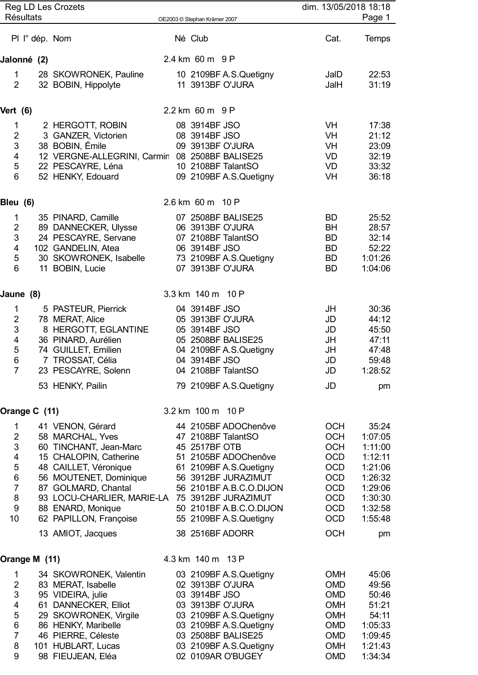|                                                                                                                               | <b>Résultats</b> | <b>Reg LD Les Crozets</b>                                                                                                                                                                                                                                           | OE2003 © Stephan Krämer 2007                    |                                                                                                                                                                                                     |                                                                                                                                          | dim. 13/05/2018 18:18<br>Page 1                                                                          |
|-------------------------------------------------------------------------------------------------------------------------------|------------------|---------------------------------------------------------------------------------------------------------------------------------------------------------------------------------------------------------------------------------------------------------------------|-------------------------------------------------|-----------------------------------------------------------------------------------------------------------------------------------------------------------------------------------------------------|------------------------------------------------------------------------------------------------------------------------------------------|----------------------------------------------------------------------------------------------------------|
|                                                                                                                               |                  | PI l° dép. Nom                                                                                                                                                                                                                                                      | Né Club                                         |                                                                                                                                                                                                     | Cat.                                                                                                                                     | <b>Temps</b>                                                                                             |
| Jalonné (2)                                                                                                                   |                  |                                                                                                                                                                                                                                                                     | 2.4 km 60 m 9 P                                 |                                                                                                                                                                                                     |                                                                                                                                          |                                                                                                          |
| $\mathbf 1$<br>$\overline{2}$                                                                                                 |                  | 28 SKOWRONEK, Pauline<br>32 BOBIN, Hippolyte                                                                                                                                                                                                                        |                                                 | 10 2109BF A.S.Quetigny<br>11 3913BF O'JURA                                                                                                                                                          | JaID<br>JalH                                                                                                                             | 22:53<br>31:19                                                                                           |
| Vert (6)                                                                                                                      |                  |                                                                                                                                                                                                                                                                     | 2.2 km 60 m 9 P                                 |                                                                                                                                                                                                     |                                                                                                                                          |                                                                                                          |
| 1<br>$\overline{2}$<br>$\ensuremath{\mathsf{3}}$<br>4<br>$\sqrt{5}$<br>$6\phantom{1}$                                         |                  | 2 HERGOTT, ROBIN<br>3 GANZER, Victorien<br>38 BOBIN, Émile<br>12 VERGNE-ALLEGRINI, Carmin 08 2508BF BALISE25<br>22 PESCAYRE, Léna<br>52 HENKY, Edouard                                                                                                              | 08 3914BF JSO<br>08 3914BF JSO                  | 09 3913BF O'JURA<br>10 2108BF TalantSO<br>09 2109BF A.S.Quetigny                                                                                                                                    | VH<br>VH<br>VH<br>VD<br>VD<br>VH                                                                                                         | 17:38<br>21:12<br>23:09<br>32:19<br>33:32<br>36:18                                                       |
| Bleu (6)                                                                                                                      |                  |                                                                                                                                                                                                                                                                     | 2.6 km 60 m 10 P                                |                                                                                                                                                                                                     |                                                                                                                                          |                                                                                                          |
| $\mathbf{1}$<br>$\mathbf 2$<br>$\mathsf 3$<br>$\overline{\mathbf{4}}$<br>$\sqrt{5}$<br>$6\phantom{1}$                         |                  | 35 PINARD, Camille<br>89 DANNECKER, Ulysse<br>24 PESCAYRE, Servane<br>102 GANDELIN, Atea<br>30 SKOWRONEK, Isabelle<br>11 BOBIN, Lucie                                                                                                                               | 06 3914BF JSO                                   | 07 2508BF BALISE25<br>06 3913BF O'JURA<br>07 2108BF TalantSO<br>73 2109BF A.S.Quetigny<br>07 3913BF O'JURA                                                                                          | <b>BD</b><br><b>BH</b><br><b>BD</b><br><b>BD</b><br><b>BD</b><br><b>BD</b>                                                               | 25:52<br>28:57<br>32:14<br>52:22<br>1:01:26<br>1:04:06                                                   |
| Jaune (8)                                                                                                                     |                  |                                                                                                                                                                                                                                                                     | 3.3 km 140 m 10 P                               |                                                                                                                                                                                                     |                                                                                                                                          |                                                                                                          |
| $\mathbf 1$<br>$\boldsymbol{2}$<br>$\mathsf 3$<br>$\overline{\mathbf{4}}$<br>$\mathbf 5$<br>$6\phantom{1}6$<br>$\overline{7}$ |                  | 5 PASTEUR, Pierrick<br>78 MERAT, Alice<br>8 HERGOTT, EGLANTINE<br>36 PINARD, Aurélien<br>74 GUILLET, Emilien<br>7 TROSSAT, Célia<br>23 PESCAYRE, Solenn<br>53 HENKY, Pailin                                                                                         | 04 3914BF JSO<br>05 3914BF JSO<br>04 3914BF JSO | 05 3913BF O'JURA<br>05 2508BF BALISE25<br>04 2109BF A.S.Quetigny<br>04 2108BF TalantSO<br>79 2109BF A.S.Quetigny                                                                                    | JH<br>JD<br>JD<br>JH<br>JH<br>JD<br>JD<br>JD                                                                                             | 30:36<br>44:12<br>45:50<br>47:11<br>47:48<br>59:48<br>1:28:52<br>pm                                      |
| Orange C (11)                                                                                                                 |                  |                                                                                                                                                                                                                                                                     | 3.2 km 100 m 10 P                               |                                                                                                                                                                                                     |                                                                                                                                          |                                                                                                          |
| $\mathbf 1$<br>$\overline{2}$<br>$\mathsf 3$<br>4<br>5<br>$\,6$<br>$\overline{7}$<br>$\bf 8$<br>$\boldsymbol{9}$<br>10        |                  | 41 VENON, Gérard<br>58 MARCHAL, Yves<br>60 TINCHANT, Jean-Marc<br>15 CHALOPIN, Catherine<br>48 CAILLET, Véronique<br>56 MOUTENET, Dominique<br>87 GOLMARD, Chantal<br>93 LOCU-CHARLIER, MARIE-LA 75 3912BF JURAZIMUT<br>88 ENARD, Monique<br>62 PAPILLON, Françoise | 45 2517BF OTB                                   | 44 2105BF ADOChenôve<br>47 2108BF TalantSO<br>51 2105BF ADOChenôve<br>61 2109BF A.S.Quetigny<br>56 3912BF JURAZIMUT<br>56 2101BF A.B.C.O.DIJON<br>50 2101BF A.B.C.O.DIJON<br>55 2109BF A.S.Quetigny | <b>OCH</b><br><b>OCH</b><br><b>OCH</b><br><b>OCD</b><br><b>OCD</b><br><b>OCD</b><br><b>OCD</b><br><b>OCD</b><br><b>OCD</b><br><b>OCD</b> | 35:24<br>1:07:05<br>1:11:00<br>1:12:11<br>1:21:06<br>1:26:32<br>1:29:06<br>1:30:30<br>1:32:58<br>1:55:48 |
|                                                                                                                               |                  | 13 AMIOT, Jacques                                                                                                                                                                                                                                                   |                                                 | 38 2516BF ADORR                                                                                                                                                                                     | <b>OCH</b>                                                                                                                               | pm                                                                                                       |
| Orange M (11)                                                                                                                 |                  |                                                                                                                                                                                                                                                                     | 4.3 km 140 m 13 P                               |                                                                                                                                                                                                     |                                                                                                                                          |                                                                                                          |
| $\mathbf{1}$<br>$\overline{c}$<br>3<br>$\overline{\mathbf{4}}$<br>$\mathbf 5$<br>$\,6$<br>$\overline{7}$<br>8<br>9            |                  | 34 SKOWRONEK, Valentin<br>83 MERAT, Isabelle<br>95 VIDEIRA, julie<br>61 DANNECKER, Elliot<br>29 SKOWRONEK, Virgile<br>86 HENKY, Maribelle<br>46 PIERRE, Céleste<br>101 HUBLART, Lucas<br>98 FIEUJEAN, Eléa                                                          | 03 3914BF JSO                                   | 03 2109BF A.S.Quetigny<br>02 3913BF O'JURA<br>03 3913BF O'JURA<br>03 2109BF A.S.Quetigny<br>03 2109BF A.S.Quetigny<br>03 2508BF BALISE25<br>03 2109BF A.S.Quetigny<br>02 0109AR O'BUGEY             | <b>OMH</b><br><b>OMD</b><br><b>OMD</b><br><b>OMH</b><br><b>OMH</b><br><b>OMD</b><br><b>OMD</b><br><b>OMH</b><br><b>OMD</b>               | 45:06<br>49:56<br>50:46<br>51:21<br>54:11<br>1:05:33<br>1:09:45<br>1:21:43<br>1:34:34                    |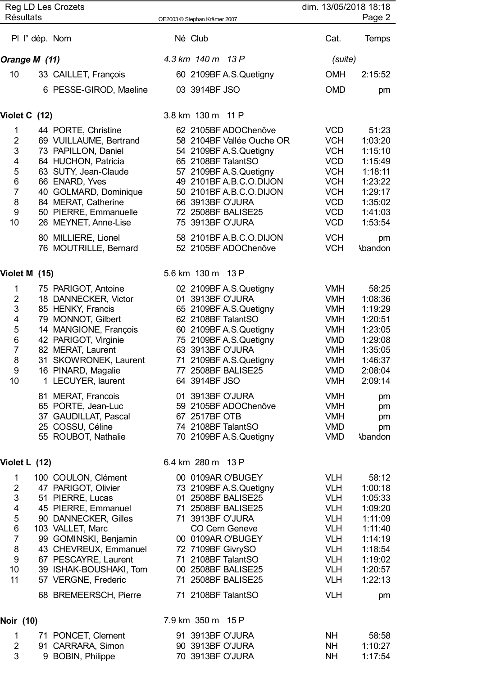|                                                                               | <b>Résultats</b> | Reg LD Les Crozets                                                                                                                                                                                                                                                                                                        | OE2003 © Stephan Krämer 2007                                                                                                                                                                                                                                                                                           | dim. 13/05/2018 18:18<br>Page 2                                                                                                                                                                  |                                                                                                                                  |  |
|-------------------------------------------------------------------------------|------------------|---------------------------------------------------------------------------------------------------------------------------------------------------------------------------------------------------------------------------------------------------------------------------------------------------------------------------|------------------------------------------------------------------------------------------------------------------------------------------------------------------------------------------------------------------------------------------------------------------------------------------------------------------------|--------------------------------------------------------------------------------------------------------------------------------------------------------------------------------------------------|----------------------------------------------------------------------------------------------------------------------------------|--|
|                                                                               | PI l° dép. Nom   |                                                                                                                                                                                                                                                                                                                           | Né Club                                                                                                                                                                                                                                                                                                                | Cat.                                                                                                                                                                                             | <b>Temps</b>                                                                                                                     |  |
|                                                                               | Orange M (11)    |                                                                                                                                                                                                                                                                                                                           | 4.3 km 140 m 13 P                                                                                                                                                                                                                                                                                                      | (suite)                                                                                                                                                                                          |                                                                                                                                  |  |
| 10                                                                            |                  | 33 CAILLET, François                                                                                                                                                                                                                                                                                                      | 60 2109BF A.S.Quetigny                                                                                                                                                                                                                                                                                                 | <b>OMH</b>                                                                                                                                                                                       | 2:15:52                                                                                                                          |  |
|                                                                               |                  | 6 PESSE-GIROD, Maeline                                                                                                                                                                                                                                                                                                    | 03 3914BF JSO                                                                                                                                                                                                                                                                                                          | <b>OMD</b>                                                                                                                                                                                       | pm                                                                                                                               |  |
|                                                                               | Violet C (12)    |                                                                                                                                                                                                                                                                                                                           | 3.8 km 130 m 11 P                                                                                                                                                                                                                                                                                                      |                                                                                                                                                                                                  |                                                                                                                                  |  |
| 1<br>$\overline{2}$<br>$\sqrt{3}$<br>4<br>5<br>$\,6\,$                        |                  | 44 PORTE, Christine<br>69 VUILLAUME, Bertrand<br>73 PAPILLON, Daniel<br>64 HUCHON, Patricia<br>63 SUTY, Jean-Claude<br>66 ENARD, Yves                                                                                                                                                                                     | 62 2105BF ADOChenôve<br>58 2104BF Vallée Ouche OR<br>54 2109BF A.S.Quetigny<br>65 2108BF TalantSO<br>57 2109BF A.S.Quetigny<br>49 2101BF A.B.C.O.DIJON                                                                                                                                                                 | <b>VCD</b><br><b>VCH</b><br><b>VCH</b><br><b>VCD</b><br><b>VCH</b><br><b>VCH</b>                                                                                                                 | 51:23<br>1:03:20<br>1:15:10<br>1:15:49<br>1:18:11<br>1:23:22                                                                     |  |
| $\overline{7}$<br>8<br>$\boldsymbol{9}$<br>10                                 |                  | 40 GOLMARD, Dominique<br>84 MERAT, Catherine<br>50 PIERRE, Emmanuelle<br>26 MEYNET, Anne-Lise                                                                                                                                                                                                                             | 50 2101BF A.B.C.O.DIJON<br>66 3913BF O'JURA<br>72 2508BF BALISE25<br>75 3913BF O'JURA                                                                                                                                                                                                                                  | <b>VCH</b><br><b>VCD</b><br><b>VCD</b><br><b>VCD</b>                                                                                                                                             | 1:29:17<br>1:35:02<br>1:41:03<br>1:53:54                                                                                         |  |
|                                                                               |                  | 80 MILLIERE, Lionel<br>76 MOUTRILLE, Bernard                                                                                                                                                                                                                                                                              | 58 2101BF A.B.C.O.DIJON<br>52 2105BF ADOChenôve                                                                                                                                                                                                                                                                        | <b>VCH</b><br><b>VCH</b>                                                                                                                                                                         | pm<br><b>Abandon</b>                                                                                                             |  |
|                                                                               | Violet M (15)    |                                                                                                                                                                                                                                                                                                                           | 5.6 km 130 m 13 P                                                                                                                                                                                                                                                                                                      |                                                                                                                                                                                                  |                                                                                                                                  |  |
| 1<br>$\overline{2}$<br>3<br>4<br>5<br>$\,6$<br>$\overline{7}$<br>8<br>9<br>10 |                  | 75 PARIGOT, Antoine<br>18 DANNECKER, Victor<br>85 HENKY, Francis<br>79 MONNOT, Gilbert<br>14 MANGIONE, François<br>42 PARIGOT, Virginie<br>82 MERAT, Laurent<br>31 SKOWRONEK, Laurent<br>16 PINARD, Magalie<br>1 LECUYER, laurent<br>81 MERAT, Francois<br>65 PORTE, Jean-Luc<br>37 GAUDILLAT, Pascal<br>25 COSSU, Céline | 02 2109BF A.S.Quetigny<br>01 3913BF O'JURA<br>65 2109BF A.S.Quetigny<br>62 2108BF TalantSO<br>60 2109BF A.S.Quetigny<br>75 2109BF A.S.Quetigny<br>63 3913BF O'JURA<br>71 2109BF A.S.Quetigny<br>77 2508BF BALISE25<br>64 3914BF JSO<br>01 3913BF O'JURA<br>59 2105BF ADOChenôve<br>67 2517BF OTB<br>74 2108BF TalantSO | <b>VMH</b><br><b>VMH</b><br><b>VMH</b><br><b>VMH</b><br><b>VMH</b><br><b>VMD</b><br><b>VMH</b><br><b>VMH</b><br><b>VMD</b><br><b>VMH</b><br><b>VMH</b><br><b>VMH</b><br><b>VMH</b><br><b>VMD</b> | 58:25<br>1:08:36<br>1:19:29<br>1:20:51<br>1:23:05<br>1:29:08<br>1:35:05<br>1:46:37<br>2:08:04<br>2:09:14<br>pm<br>pm<br>pm<br>pm |  |
|                                                                               |                  | 55 ROUBOT, Nathalie                                                                                                                                                                                                                                                                                                       | 70 2109BF A.S.Quetigny                                                                                                                                                                                                                                                                                                 | <b>VMD</b>                                                                                                                                                                                       | <b>Abandon</b>                                                                                                                   |  |
| 1<br>$\overline{2}$                                                           | Violet L (12)    | 100 COULON, Clément<br>47 PARIGOT, Olivier                                                                                                                                                                                                                                                                                | 6.4 km 280 m 13 P<br>00 0109AR O'BUGEY                                                                                                                                                                                                                                                                                 | <b>VLH</b><br><b>VLH</b>                                                                                                                                                                         | 58:12<br>1:00:18                                                                                                                 |  |
| $\ensuremath{\mathsf{3}}$<br>4<br>$\sqrt{5}$<br>$\,6$                         |                  | 51 PIERRE, Lucas<br>45 PIERRE, Emmanuel<br>90 DANNECKER, Gilles<br>103 VALLET, Marc                                                                                                                                                                                                                                       | 73 2109BF A.S.Quetigny<br>01 2508BF BALISE25<br>71 2508BF BALISE25<br>71 3913BF O'JURA<br><b>CO Cern Geneve</b>                                                                                                                                                                                                        | <b>VLH</b><br><b>VLH</b><br><b>VLH</b><br><b>VLH</b>                                                                                                                                             | 1:05:33<br>1:09:20<br>1:11:09<br>1:11:40                                                                                         |  |
| $\overline{7}$<br>8<br>$9\,$<br>10<br>11                                      |                  | 99 GOMINSKI, Benjamin<br>43 CHEVREUX, Emmanuel<br>67 PESCAYRE, Laurent<br>39 ISHAK-BOUSHAKI, Tom<br>57 VERGNE, Frederic                                                                                                                                                                                                   | 00 0109AR O'BUGEY<br>72 7109BF GivrySO<br>71 2108BF TalantSO<br>00 2508BF BALISE25<br>71 2508BF BALISE25                                                                                                                                                                                                               | <b>VLH</b><br><b>VLH</b><br><b>VLH</b><br><b>VLH</b><br><b>VLH</b>                                                                                                                               | 1:14:19<br>1:18:54<br>1:19:02<br>1:20:57<br>1:22:13                                                                              |  |
|                                                                               |                  | 68 BREMEERSCH, Pierre                                                                                                                                                                                                                                                                                                     | 71 2108BF TalantSO                                                                                                                                                                                                                                                                                                     | <b>VLH</b>                                                                                                                                                                                       | pm                                                                                                                               |  |
| Noir (10)                                                                     |                  |                                                                                                                                                                                                                                                                                                                           | 7.9 km 350 m 15 P                                                                                                                                                                                                                                                                                                      |                                                                                                                                                                                                  |                                                                                                                                  |  |
| 1<br>$\overline{2}$<br>3                                                      |                  | 71 PONCET, Clement<br>91 CARRARA, Simon<br>9 BOBIN, Philippe                                                                                                                                                                                                                                                              | 91 3913BF O'JURA<br>90 3913BF O'JURA<br>70 3913BF O'JURA                                                                                                                                                                                                                                                               | <b>NH</b><br><b>NH</b><br><b>NH</b>                                                                                                                                                              | 58:58<br>1:10:27<br>1:17:54                                                                                                      |  |